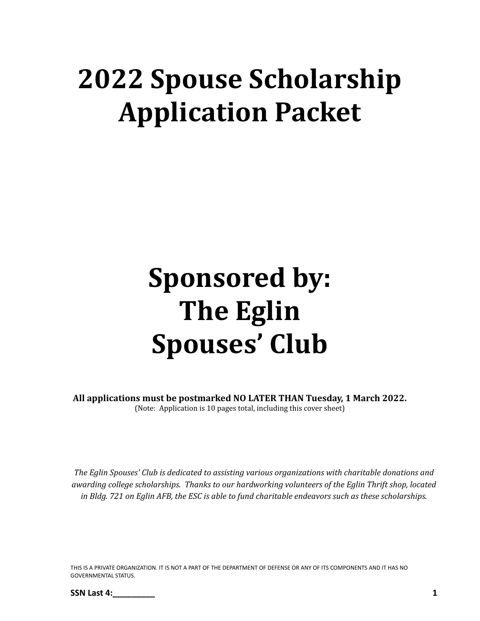# **2022 Spouse Scholarship Application Packet**

# **Sponsored by: The Eglin Spouses' Club**

**All applications must be postmarked NO LATER THAN Tuesday, 1 March 2022.** (Note: Application is 10 pages total, including this cover sheet)

*The Eglin Spouses' Club is dedicated to assisting various organizations with charitable donations and awarding college scholarships. Thanks to our hardworking volunteers of the Eglin Thrift shop, located* in Bldg. 721 on Eglin AFB, the ESC is able to fund charitable endeavors such as these scholarships.

THIS IS A PRIVATE ORGANIZATION. IT IS NOT A PART OF THE DEPARTMENT OF DEFENSE OR ANY OF ITS COMPONENTS AND IT HAS NO GOVERNMENTAL STATUS.

**SSN Last 4:\_\_\_\_\_\_\_\_\_ 1**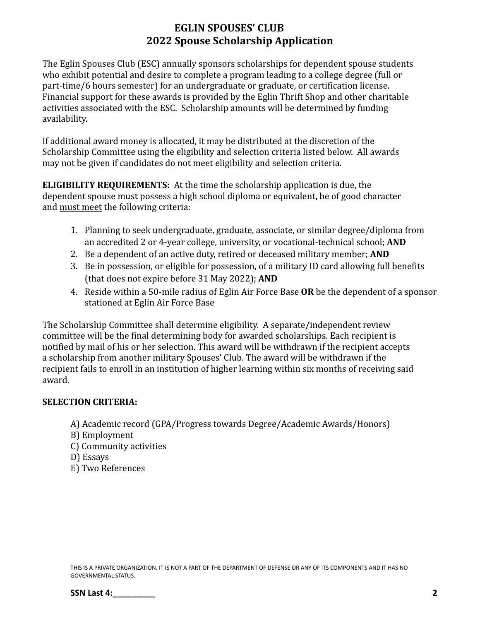The Eglin Spouses Club (ESC) annually sponsors scholarships for dependent spouse students who exhibit potential and desire to complete a program leading to a college degree (full or part-time/6 hours semester) for an undergraduate or graduate, or certification license. Financial support for these awards is provided by the Eglin Thrift Shop and other charitable activities associated with the ESC. Scholarship amounts will be determined by funding availability.

If additional award money is allocated, it may be distributed at the discretion of the Scholarship Committee using the eligibility and selection criteria listed below. All awards may not be given if candidates do not meet eligibility and selection criteria.

**ELIGIBILITY REQUIREMENTS:** At the time the scholarship application is due, the dependent spouse must possess a high school diploma or equivalent, be of good character and must meet the following criteria:

- 1. Planning to seek undergraduate, graduate, associate, or similar degree/diploma from an accredited 2 or 4-year college, university, or vocational-technical school; **AND**
- 2. Be a dependent of an active duty, retired or deceased military member; **AND**
- 3. Be in possession, or eligible for possession, of a military ID card allowing full benefits (that does not expire before 31 May 2022); **AND**
- 4. Reside within a 50-mile radius of Eglin Air Force Base **OR** be the dependent of a sponsor stationed at Eglin Air Force Base

The Scholarship Committee shall determine eligibility. A separate/independent review committee will be the final determining body for awarded scholarships. Each recipient is notified by mail of his or her selection. This award will be withdrawn if the recipient accepts a scholarship from another military Spouses' Club. The award will be withdrawn if the recipient fails to enroll in an institution of higher learning within six months of receiving said award.

#### **SELECTION CRITERIA:**

- A) Academic record (GPA/Progress towards Degree/Academic Awards/Honors)
- B) Employment
- C) Community activities
- D) Essays
- E) Two References

THIS IS A PRIVATE ORGANIZATION. IT IS NOT A PART OF THE DEPARTMENT OF DEFENSE OR ANY OF ITS COMPONENTS AND IT HAS NO GOVERNMENTAL STATUS.

**SSN Last 4: 2**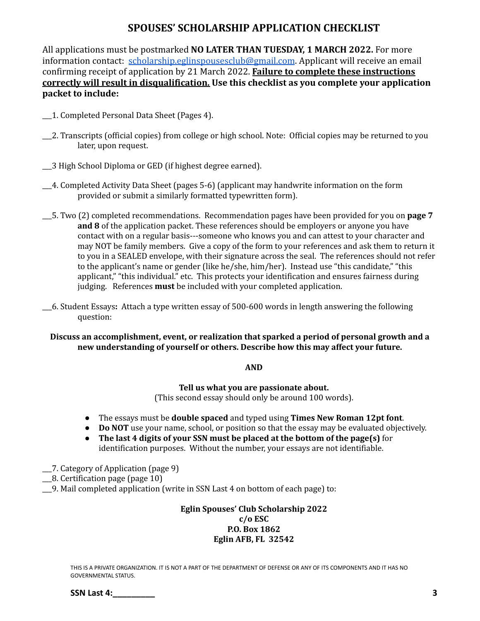#### **SPOUSES' SCHOLARSHIP APPLICATION CHECKLIST**

All applications must be postmarked **NO LATER THAN TUESDAY, 1 MARCH 2022.** For more information contact: [scholarship.eglinspousesclub@gmail.com](mailto:scholarship.eglinspousesclub@gmail.com). Applicant will receive an email confirming receipt of application by 21 March 2022. **Failure to complete these instructions correctly will result in disqualification. Use this checklist as you complete your application packet to include:**

- \_\_\_1. Completed Personal Data Sheet (Pages 4).
- \_\_\_2. Transcripts (official copies) from college or high school. Note: Official copies may be returned to you later, upon request.
- \_\_\_3 High School Diploma or GED (if highest degree earned).
- \_\_\_4. Completed Activity Data Sheet (pages 5-6) (applicant may handwrite information on the form provided or submit a similarly formatted typewritten form).
- \_\_\_5. Two (2) completed recommendations. Recommendation pages have been provided for you on **page 7 and 8** of the application packet. These references should be employers or anyone you have contact with on a regular basis---someone who knows you and can attest to your character and may NOT be family members. Give a copy of the form to your references and ask them to return it to you in a SEALED envelope, with their signature across the seal. The references should not refer to the applicant's name or gender (like he/she, him/her). Instead use "this candidate," "this applicant," "this individual." etc. This protects your identification and ensures fairness during judging. References **must** be included with your completed application.
- \_\_\_6. Student Essays**:** Attach a type written essay of 500-600 words in length answering the following question:

#### **Discuss an accomplishment, event, or realization that sparked a period of personal growth and a new understanding of yourself or others. Describe how this may affect your future.**

#### **AND**

**Tell us what you are passionate about.**

(This second essay should only be around 100 words).

- The essays must be **double spaced** and typed using **Times New Roman 12pt font**.
- **Do NOT** use your name, school, or position so that the essay may be evaluated objectively.
- **The last 4 digits of your SSN must be placed at the bottom of the page(s)** for identification purposes. Without the number, your essays are not identifiable.
- \_\_\_7. Category of Application (page 9)
- \_\_\_8. Certification page (page 10)
- \_\_\_9. Mail completed application (write in SSN Last 4 on bottom of each page) to:

#### **Eglin Spouses' Club Scholarship 2022 c/o ESC P.O. Box 1862 Eglin AFB, FL 32542**

THIS IS A PRIVATE ORGANIZATION. IT IS NOT A PART OF THE DEPARTMENT OF DEFENSE OR ANY OF ITS COMPONENTS AND IT HAS NO GOVERNMENTAL STATUS.

**SSN Last 4: 3**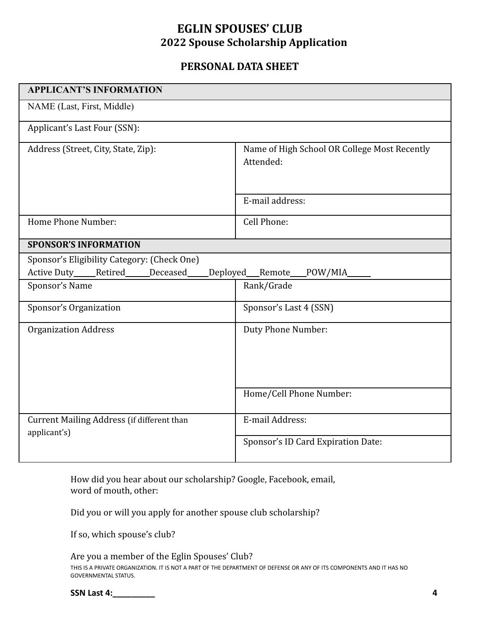### **PERSONAL DATA SHEET**

| <b>APPLICANT'S INFORMATION</b>                                                                                               |                                                           |  |  |
|------------------------------------------------------------------------------------------------------------------------------|-----------------------------------------------------------|--|--|
| NAME (Last, First, Middle)                                                                                                   |                                                           |  |  |
| Applicant's Last Four (SSN):                                                                                                 |                                                           |  |  |
| Address (Street, City, State, Zip):                                                                                          | Name of High School OR College Most Recently<br>Attended: |  |  |
|                                                                                                                              | E-mail address:                                           |  |  |
| Home Phone Number:                                                                                                           | Cell Phone:                                               |  |  |
| <b>SPONSOR'S INFORMATION</b>                                                                                                 |                                                           |  |  |
| Sponsor's Eligibility Category: (Check One)<br>Active Duty____Retired____<br>Deceased<br>Deployed_<br>_Remote____<br>POW/MIA |                                                           |  |  |
| Sponsor's Name                                                                                                               | Rank/Grade                                                |  |  |
| Sponsor's Organization                                                                                                       | Sponsor's Last 4 (SSN)                                    |  |  |
| <b>Organization Address</b>                                                                                                  | Duty Phone Number:                                        |  |  |
|                                                                                                                              | Home/Cell Phone Number:                                   |  |  |
| Current Mailing Address (if different than<br>applicant's)                                                                   | E-mail Address:                                           |  |  |
|                                                                                                                              | Sponsor's ID Card Expiration Date:                        |  |  |

How did you hear about our scholarship? Google, Facebook, email, word of mouth, other:

Did you or will you apply for another spouse club scholarship?

If so, which spouse's club?

Are you a member of the Eglin Spouses' Club? THIS IS A PRIVATE ORGANIZATION. IT IS NOT A PART OF THE DEPARTMENT OF DEFENSE OR ANY OF ITS COMPONENTS AND IT HAS NO GOVERNMENTAL STATUS.

| <b>SSN Last 4:</b> |  |
|--------------------|--|
|                    |  |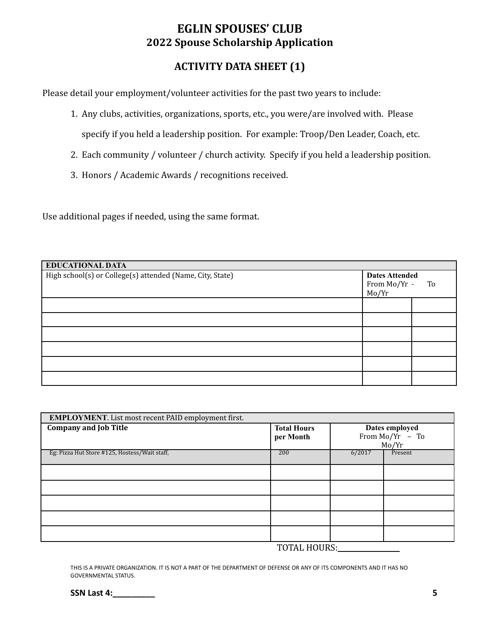## **ACTIVITY DATA SHEET (1)**

Please detail your employment/volunteer activities for the past two years to include:

- 1. Any clubs, activities, organizations, sports, etc., you were/are involved with. Please specify if you held a leadership position. For example: Troop/Den Leader, Coach, etc.
- 2. Each community / volunteer / church activity. Specify if you held a leadership position.
- 3. Honors / Academic Awards / recognitions received.

Use additional pages if needed, using the same format.

| <b>EDUCATIONAL DATA</b>                                                                                     |  |    |  |  |
|-------------------------------------------------------------------------------------------------------------|--|----|--|--|
| High school(s) or College(s) attended (Name, City, State)<br><b>Dates Attended</b><br>From Mo/Yr -<br>Mo/Yr |  | To |  |  |
|                                                                                                             |  |    |  |  |
|                                                                                                             |  |    |  |  |
|                                                                                                             |  |    |  |  |
|                                                                                                             |  |    |  |  |
|                                                                                                             |  |    |  |  |
|                                                                                                             |  |    |  |  |

| <b>EMPLOYMENT.</b> List most recent PAID employment first. |                                 |        |                                              |
|------------------------------------------------------------|---------------------------------|--------|----------------------------------------------|
| <b>Company and Job Title</b>                               | <b>Total Hours</b><br>per Month |        | Dates employed<br>From $Mo/Yr - To$<br>Mo/Yr |
| Eg: Pizza Hut Store #125, Hostess/Wait staff,              | 200                             | 6/2017 | Present                                      |
|                                                            |                                 |        |                                              |
|                                                            |                                 |        |                                              |
|                                                            |                                 |        |                                              |
|                                                            |                                 |        |                                              |
|                                                            |                                 |        |                                              |

TOTAL HOURS:

THIS IS A PRIVATE ORGANIZATION. IT IS NOT A PART OF THE DEPARTMENT OF DEFENSE OR ANY OF ITS COMPONENTS AND IT HAS NO GOVERNMENTAL STATUS.

**SSN Last 4:\_\_\_\_\_\_\_\_\_ 5**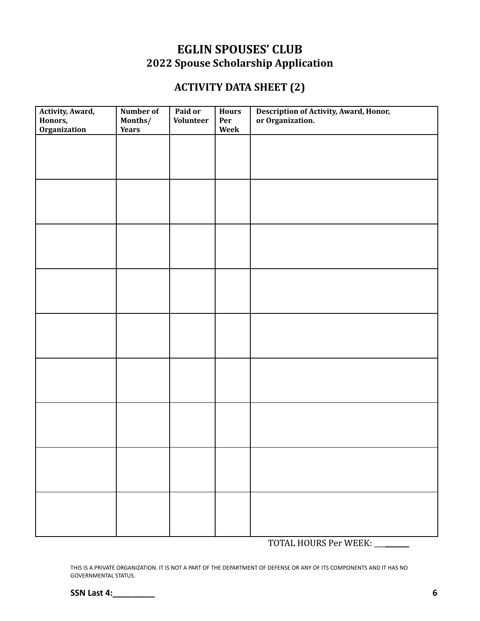## **ACTIVITY DATA SHEET (2)**

| Activity, Award,<br>Honors, | Number of<br>Months/ | Paid or<br>Volunteer | Hours<br>Per | Description of Activity, Award, Honor,<br>or Organization. |
|-----------------------------|----------------------|----------------------|--------------|------------------------------------------------------------|
| <b>Organization</b>         | <b>Years</b>         |                      | Week         |                                                            |
|                             |                      |                      |              |                                                            |
|                             |                      |                      |              |                                                            |
|                             |                      |                      |              |                                                            |
|                             |                      |                      |              |                                                            |
|                             |                      |                      |              |                                                            |
|                             |                      |                      |              |                                                            |
|                             |                      |                      |              |                                                            |
|                             |                      |                      |              |                                                            |
|                             |                      |                      |              |                                                            |
|                             |                      |                      |              |                                                            |
|                             |                      |                      |              |                                                            |
|                             |                      |                      |              |                                                            |
|                             |                      |                      |              |                                                            |
|                             |                      |                      |              |                                                            |
|                             |                      |                      |              |                                                            |
|                             |                      |                      |              |                                                            |
|                             |                      |                      |              |                                                            |
|                             |                      |                      |              |                                                            |
|                             |                      |                      |              |                                                            |
|                             |                      |                      |              |                                                            |
|                             |                      |                      |              |                                                            |
|                             |                      |                      |              |                                                            |
|                             |                      |                      |              |                                                            |
|                             |                      |                      |              |                                                            |
|                             |                      |                      |              |                                                            |
|                             |                      |                      |              |                                                            |
|                             |                      |                      |              |                                                            |
|                             |                      |                      |              |                                                            |
|                             |                      |                      |              |                                                            |
|                             |                      |                      |              |                                                            |
|                             |                      |                      |              |                                                            |
|                             |                      |                      |              |                                                            |
|                             |                      |                      |              |                                                            |
|                             |                      |                      |              |                                                            |
|                             |                      |                      |              |                                                            |

TOTAL HOURS Per WEEK: \_\_\_\_\_

THIS IS A PRIVATE ORGANIZATION. IT IS NOT A PART OF THE DEPARTMENT OF DEFENSE OR ANY OF ITS COMPONENTS AND IT HAS NO GOVERNMENTAL STATUS.

**SSN Last 4:\_\_\_\_\_\_\_\_\_ 6**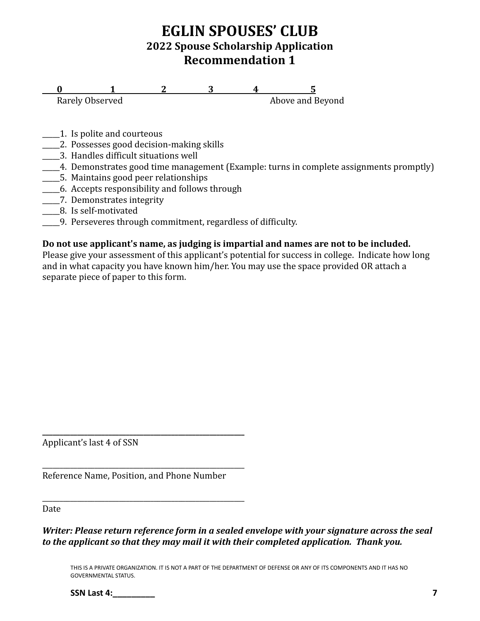# **EGLIN SPOUSES' CLUB 2022 Spouse Scholarship Application Recommendation 1**

**0 1 2 3 4 5**<br>Rarely Observed **6** Above and **F** Above and Beyond

- 1. Is polite and courteous
- \_\_\_\_\_2. Possesses good decision-making skills
- \_\_\_\_\_3. Handles difficult situations well
- \_\_\_\_\_4. Demonstrates good time management (Example: turns in complete assignments promptly)
- \_\_\_\_\_5. Maintains good peer relationships
- \_\_\_\_\_6. Accepts responsibility and follows through
- \_\_\_\_\_7. Demonstrates integrity
- \_\_\_\_\_8. Is self-motivated
- \_\_\_\_\_9. Perseveres through commitment, regardless of difficulty.

#### **Do not use applicant's name, as judging is impartial and names are not to be included.**

Please give your assessment of this applicant's potential for success in college. Indicate how long and in what capacity you have known him/her. You may use the space provided OR attach a separate piece of paper to this form.

Applicant's last 4 of SSN

Reference Name, Position, and Phone Number

**\_\_\_\_\_\_\_\_\_\_\_\_\_\_\_\_\_\_\_\_\_\_\_\_\_\_\_\_\_\_\_\_\_\_\_\_\_\_\_\_\_\_\_\_\_\_\_\_\_\_\_\_\_\_\_\_\_\_**

\_\_\_\_\_\_\_\_\_\_\_\_\_\_\_\_\_\_\_\_\_\_\_\_\_\_\_\_\_\_\_\_\_\_\_\_\_\_\_\_\_\_\_\_\_\_\_\_\_\_\_\_\_\_\_\_\_\_

\_\_\_\_\_\_\_\_\_\_\_\_\_\_\_\_\_\_\_\_\_\_\_\_\_\_\_\_\_\_\_\_\_\_\_\_\_\_\_\_\_\_\_\_\_\_\_\_\_\_\_\_\_\_\_\_\_\_

Date

*Writer: Please return reference form in a sealed envelope with your signature across the seal to the applicant so that they may mail it with their completed application. Thank you.*

THIS IS A PRIVATE ORGANIZATION. IT IS NOT A PART OF THE DEPARTMENT OF DEFENSE OR ANY OF ITS COMPONENTS AND IT HAS NO GOVERNMENTAL STATUS.

**SSN Last 4: 7**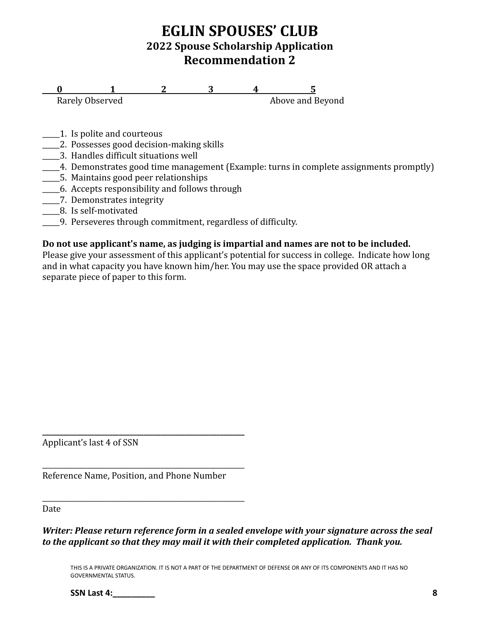# **EGLIN SPOUSES' CLUB 2022 Spouse Scholarship Application Recommendation 2**

**0 1 2 3 4 5**<br>Rarely Observed **6** Above and **F** Above and Beyond

- 1. Is polite and courteous
- \_\_\_\_\_2. Possesses good decision-making skills
- \_\_\_\_\_3. Handles difficult situations well
- \_\_\_\_\_4. Demonstrates good time management (Example: turns in complete assignments promptly)
- \_\_\_\_\_5. Maintains good peer relationships
- \_\_\_\_\_6. Accepts responsibility and follows through
- \_\_\_\_\_7. Demonstrates integrity
- \_\_\_\_\_8. Is self-motivated
- \_\_\_\_\_9. Perseveres through commitment, regardless of difficulty.

#### **Do not use applicant's name, as judging is impartial and names are not to be included.**

Please give your assessment of this applicant's potential for success in college. Indicate how long and in what capacity you have known him/her. You may use the space provided OR attach a separate piece of paper to this form.

Applicant's last 4 of SSN

Reference Name, Position, and Phone Number

**\_\_\_\_\_\_\_\_\_\_\_\_\_\_\_\_\_\_\_\_\_\_\_\_\_\_\_\_\_\_\_\_\_\_\_\_\_\_\_\_\_\_\_\_\_\_\_\_\_\_\_\_\_\_\_\_\_\_**

\_\_\_\_\_\_\_\_\_\_\_\_\_\_\_\_\_\_\_\_\_\_\_\_\_\_\_\_\_\_\_\_\_\_\_\_\_\_\_\_\_\_\_\_\_\_\_\_\_\_\_\_\_\_\_\_\_\_

\_\_\_\_\_\_\_\_\_\_\_\_\_\_\_\_\_\_\_\_\_\_\_\_\_\_\_\_\_\_\_\_\_\_\_\_\_\_\_\_\_\_\_\_\_\_\_\_\_\_\_\_\_\_\_\_\_\_

Date

*Writer: Please return reference form in a sealed envelope with your signature across the seal to the applicant so that they may mail it with their completed application. Thank you.*

THIS IS A PRIVATE ORGANIZATION. IT IS NOT A PART OF THE DEPARTMENT OF DEFENSE OR ANY OF ITS COMPONENTS AND IT HAS NO GOVERNMENTAL STATUS.

**SSN Last 4:\_\_\_\_\_\_\_\_\_ 8**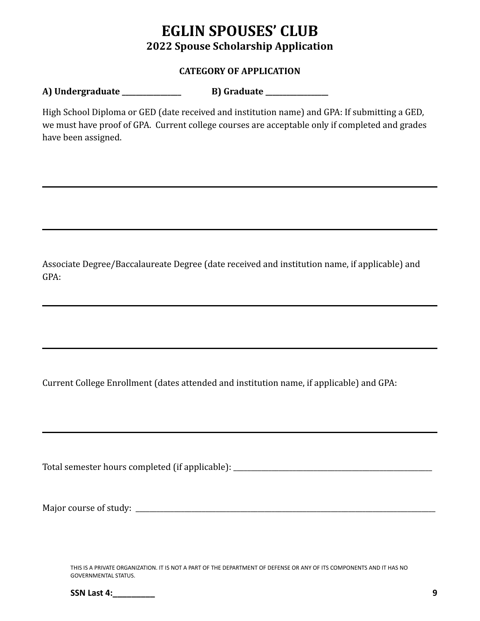#### **CATEGORY OF APPLICATION**

#### **A) Undergraduate \_\_\_\_\_\_\_\_\_\_\_\_\_\_\_\_\_ B) Graduate \_\_\_\_\_\_\_\_\_\_\_\_\_\_\_\_\_\_**

High School Diploma or GED (date received and institution name) and GPA: If submitting a GED, we must have proof of GPA. Current college courses are acceptable only if completed and grades have been assigned.

Associate Degree/Baccalaureate Degree (date received and institution name, if applicable) and GPA:

Current College Enrollment (dates attended and institution name, if applicable) and GPA:

Total semester hours completed (if applicable): \_\_\_\_\_\_\_\_\_\_\_\_\_\_\_\_\_\_\_\_\_\_\_\_\_\_\_\_\_\_\_\_

Major course of study: \_\_\_\_\_\_\_\_\_\_\_\_\_\_\_\_\_\_\_\_\_\_\_\_\_\_\_\_\_\_\_\_\_\_\_\_\_\_\_\_\_\_\_\_\_\_\_\_\_\_\_\_\_\_\_\_\_\_\_\_\_\_\_\_\_\_\_\_\_\_\_\_\_\_\_\_\_\_\_\_\_\_\_\_\_\_

THIS IS A PRIVATE ORGANIZATION. IT IS NOT A PART OF THE DEPARTMENT OF DEFENSE OR ANY OF ITS COMPONENTS AND IT HAS NO GOVERNMENTAL STATUS.

| <b>SSN Last 4:</b> |  |
|--------------------|--|
|                    |  |